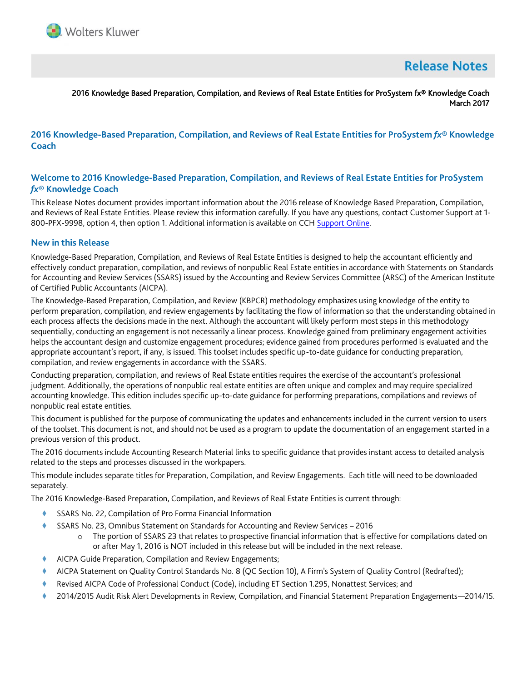

# **Release Notes**

## 2016 Knowledge Based Preparation, Compilation, and Reviews of Real Estate Entities for ProSystem fx® Knowledge Coach March 2017

# **2016 Knowledge-Based Preparation, Compilation, and Reviews of Real Estate Entities for ProSystem** *fx***® Knowledge Coach**

# **Welcome to 2016 Knowledge-Based Preparation, Compilation, and Reviews of Real Estate Entities for ProSystem**  *fx***® Knowledge Coach**

This Release Notes document provides important information about the 2016 release of Knowledge Based Preparation, Compilation, and Reviews of Real Estate Entities. Please review this information carefully. If you have any questions, contact Customer Support at 1- 800-PFX-9998, option 4, then option 1. Additional information is available on CCH [Support Online.](http://support.cch.com/productsupport/)

#### **New in this Release**

Knowledge-Based Preparation, Compilation, and Reviews of Real Estate Entities is designed to help the accountant efficiently and effectively conduct preparation, compilation, and reviews of nonpublic Real Estate entities in accordance with Statements on Standards for Accounting and Review Services (SSARS) issued by the Accounting and Review Services Committee (ARSC) of the American Institute of Certified Public Accountants (AICPA).

The Knowledge-Based Preparation, Compilation, and Review (KBPCR) methodology emphasizes using knowledge of the entity to perform preparation, compilation, and review engagements by facilitating the flow of information so that the understanding obtained in each process affects the decisions made in the next. Although the accountant will likely perform most steps in this methodology sequentially, conducting an engagement is not necessarily a linear process. Knowledge gained from preliminary engagement activities helps the accountant design and customize engagement procedures; evidence gained from procedures performed is evaluated and the appropriate accountant's report, if any, is issued. This toolset includes specific up-to-date guidance for conducting preparation, compilation, and review engagements in accordance with the SSARS.

Conducting preparation, compilation, and reviews of Real Estate entities requires the exercise of the accountant's professional judgment. Additionally, the operations of nonpublic real estate entities are often unique and complex and may require specialized accounting knowledge. This edition includes specific up-to-date guidance for performing preparations, compilations and reviews of nonpublic real estate entities.

This document is published for the purpose of communicating the updates and enhancements included in the current version to users of the toolset. This document is not, and should not be used as a program to update the documentation of an engagement started in a previous version of this product.

The 2016 documents include Accounting Research Material links to specific guidance that provides instant access to detailed analysis related to the steps and processes discussed in the workpapers.

This module includes separate titles for Preparation, Compilation, and Review Engagements. Each title will need to be downloaded separately.

The 2016 Knowledge-Based Preparation, Compilation, and Reviews of Real Estate Entities is current through:

- SSARS No. 22, Compilation of Pro Forma Financial Information
- SSARS No. 23, Omnibus Statement on Standards for Accounting and Review Services 2016
	- o The portion of SSARS 23 that relates to prospective financial information that is effective for compilations dated on or after May 1, 2016 is NOT included in this release but will be included in the next release.
- AICPA Guide Preparation, Compilation and Review Engagements;
- AICPA Statement on Quality Control Standards No. 8 (QC Section 10), A Firm's System of Quality Control (Redrafted);
- Revised AICPA Code of Professional Conduct (Code), including ET Section 1.295, Nonattest Services; and
- 2014/2015 Audit Risk Alert Developments in Review, Compilation, and Financial Statement Preparation Engagements—2014/15.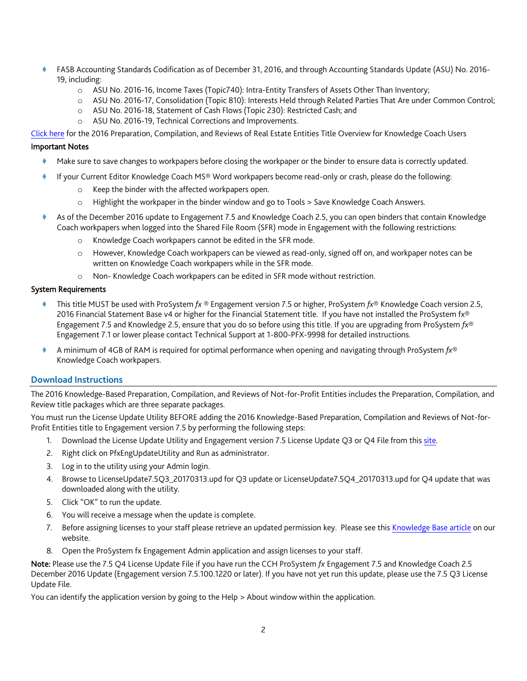- FASB Accounting Standards Codification as of December 31, 2016, and through Accounting Standards Update (ASU) No. 2016- 19, including:
	- o ASU No. 2016-16, Income Taxes (Topic740): Intra-Entity Transfers of Assets Other Than Inventory;
	- o ASU No. 2016-17, Consolidation (Topic 810): Interests Held through Related Parties That Are under Common Control;
	- o ASU No. 2016-18, Statement of Cash Flows (Topic 230): Restricted Cash; and
	- o ASU No. 2016-19, Technical Corrections and Improvements.

[Click here](http://support.cch.com/updates/KnowledgeCoach/pdf/guides_tab/2016%20REL-PCR%20Title%20Overview%20for%20Knowledge%20Coach%20Users.pdf) for the 2016 Preparation, Compilation, and Reviews of Real Estate Entities Title Overview for Knowledge Coach Users

#### Important Notes

- Make sure to save changes to workpapers before closing the workpaper or the binder to ensure data is correctly updated.
- If your Current Editor Knowledge Coach MS® Word workpapers become read-only or crash, please do the following:
	- o Keep the binder with the affected workpapers open.
	- o Highlight the workpaper in the binder window and go to Tools > Save Knowledge Coach Answers.
- As of the December 2016 update to Engagement 7.5 and Knowledge Coach 2.5, you can open binders that contain Knowledge Coach workpapers when logged into the Shared File Room (SFR) mode in Engagement with the following restrictions:
	- o Knowledge Coach workpapers cannot be edited in the SFR mode.
	- o However, Knowledge Coach workpapers can be viewed as read-only, signed off on, and workpaper notes can be written on Knowledge Coach workpapers while in the SFR mode.
	- o Non- Knowledge Coach workpapers can be edited in SFR mode without restriction.

#### System Requirements

- This title MUST be used with ProSystem *fx* ® Engagement version 7.5 or higher, ProSystem *fx*® Knowledge Coach version 2.5, 2016 Financial Statement Base v4 or higher for the Financial Statement title. If you have not installed the ProSystem fx® Engagement 7.5 and Knowledge 2.5, ensure that you do so before using this title. If you are upgrading from ProSystem *fx*® Engagement 7.1 or lower please contact Technical Support at 1-800-PFX-9998 for detailed instructions.
- A minimum of 4GB of RAM is required for optimal performance when opening and navigating through ProSystem *fx*® Knowledge Coach workpapers.

#### **Download Instructions**

The 2016 Knowledge-Based Preparation, Compilation, and Reviews of Not-for-Profit Entities includes the Preparation, Compilation, and Review title packages which are three separate packages.

You must run the License Update Utility BEFORE adding the 2016 Knowledge-Based Preparation, Compilation and Reviews of Not-for-Profit Entities title to Engagement version 7.5 by performing the following steps:

- 1. Download the License Update Utility and Engagement version 7.5 License Update Q3 or Q4 File from this [site.](https://support.cch.com/updates/Engagement/#engagementLicenseFiles)
- 2. Right click on PfxEngUpdateUtility and Run as administrator.
- 3. Log in to the utility using your Admin login.
- 4. Browse to LicenseUpdate7.5Q3\_20170313.upd for Q3 update or LicenseUpdate7.5Q4\_20170313.upd for Q4 update that was downloaded along with the utility.
- 5. Click "OK" to run the update.
- 6. You will receive a message when the update is complete.
- 7. Before assigning licenses to your staff please retrieve an updated permission key. Please see this [Knowledge Base article](https://support.cch.com/kb/solution.aspx/sw3937) on our website.
- 8. Open the ProSystem fx Engagement Admin application and assign licenses to your staff.

Note: Please use the 7.5 Q4 License Update File if you have run the CCH ProSystem *fx* Engagement 7.5 and Knowledge Coach 2.5 December 2016 Update (Engagement version 7.5.100.1220 or later). If you have not yet run this update, please use the 7.5 Q3 License Update File.

You can identify the application version by going to the Help > About window within the application.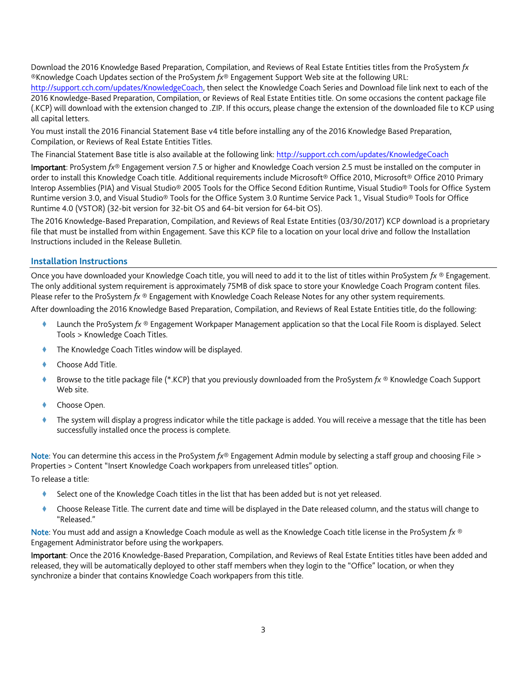Download the 2016 Knowledge Based Preparation, Compilation, and Reviews of Real Estate Entities titles from the ProSystem *fx* ®Knowledge Coach Updates section of the ProSystem *fx*® Engagement Support Web site at the following URL: [http://support.cch.com/updates/KnowledgeCoach,](http://support.cch.com/updates/KnowledgeCoach) then select the Knowledge Coach Series and Download file link next to each of the 2016 Knowledge-Based Preparation, Compilation, or Reviews of Real Estate Entities title. On some occasions the content package file (.KCP) will download with the extension changed to .ZIP. If this occurs, please change the extension of the downloaded file to KCP using all capital letters.

You must install the 2016 Financial Statement Base v4 title before installing any of the 2016 Knowledge Based Preparation, Compilation, or Reviews of Real Estate Entities Titles.

The Financial Statement Base title is also available at the following link[: http://support.cch.com/updates/KnowledgeCoach](http://support.cch.com/updates/KnowledgeCoach)

Important: ProSystem *fx*® Engagement version 7.5 or higher and Knowledge Coach version 2.5 must be installed on the computer in order to install this Knowledge Coach title. Additional requirements include Microsoft® Office 2010, Microsoft® Office 2010 Primary Interop Assemblies (PIA) and Visual Studio® 2005 Tools for the Office Second Edition Runtime, Visual Studio® Tools for Office System Runtime version 3.0, and Visual Studio® Tools for the Office System 3.0 Runtime Service Pack 1., Visual Studio® Tools for Office Runtime 4.0 (VSTOR) (32-bit version for 32-bit OS and 64-bit version for 64-bit OS).

The 2016 Knowledge-Based Preparation, Compilation, and Reviews of Real Estate Entities (03/30/2017) KCP download is a proprietary file that must be installed from within Engagement. Save this KCP file to a location on your local drive and follow the Installation Instructions included in the Release Bulletin.

# **Installation Instructions**

Once you have downloaded your Knowledge Coach title, you will need to add it to the list of titles within ProSystem *fx* ® Engagement. The only additional system requirement is approximately 75MB of disk space to store your Knowledge Coach Program content files. Please refer to the ProSystem *fx* ® Engagement with Knowledge Coach Release Notes for any other system requirements.

After downloading the 2016 Knowledge Based Preparation, Compilation, and Reviews of Real Estate Entities title, do the following:

- Launch the ProSystem *fx* ® Engagement Workpaper Management application so that the Local File Room is displayed. Select Tools > Knowledge Coach Titles.
- The Knowledge Coach Titles window will be displayed.
- Choose Add Title.
- Browse to the title package file (\*.KCP) that you previously downloaded from the ProSystem *fx* ® Knowledge Coach Support Web site.
- Choose Open.
- The system will display a progress indicator while the title package is added. You will receive a message that the title has been successfully installed once the process is complete.

Note: You can determine this access in the ProSystem *fx*® Engagement Admin module by selecting a staff group and choosing File > Properties > Content "Insert Knowledge Coach workpapers from unreleased titles" option.

To release a title:

- Select one of the Knowledge Coach titles in the list that has been added but is not yet released.
- Choose Release Title. The current date and time will be displayed in the Date released column, and the status will change to "Released."

Note: You must add and assign a Knowledge Coach module as well as the Knowledge Coach title license in the ProSystem *fx* ® Engagement Administrator before using the workpapers.

Important: Once the 2016 Knowledge-Based Preparation, Compilation, and Reviews of Real Estate Entities titles have been added and released, they will be automatically deployed to other staff members when they login to the "Office" location, or when they synchronize a binder that contains Knowledge Coach workpapers from this title.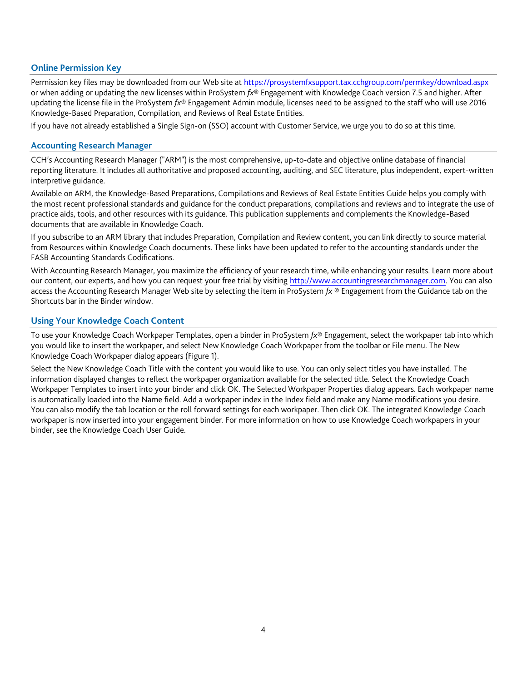## **Online Permission Key**

Permission key files may be downloaded from our Web site a[t https://prosystemfxsupport.tax.cchgroup.com/permkey/download.aspx](https://prosystemfxsupport.tax.cchgroup.com/permkey/download.aspx) or when adding or updating the new licenses within ProSystem *fx*® Engagement with Knowledge Coach version 7.5 and higher. After updating the license file in the ProSystem *fx*® Engagement Admin module, licenses need to be assigned to the staff who will use 2016 Knowledge-Based Preparation, Compilation, and Reviews of Real Estate Entities.

If you have not already established a Single Sign-on (SSO) account with Customer Service, we urge you to do so at this time.

#### **Accounting Research Manager**

CCH's Accounting Research Manager ("ARM") is the most comprehensive, up-to-date and objective online database of financial reporting literature. It includes all authoritative and proposed accounting, auditing, and SEC literature, plus independent, expert-written interpretive guidance.

Available on ARM, the Knowledge-Based Preparations, Compilations and Reviews of Real Estate Entities Guide helps you comply with the most recent professional standards and guidance for the conduct preparations, compilations and reviews and to integrate the use of practice aids, tools, and other resources with its guidance. This publication supplements and complements the Knowledge-Based documents that are available in Knowledge Coach.

If you subscribe to an ARM library that includes Preparation, Compilation and Review content, you can link directly to source material from Resources within Knowledge Coach documents. These links have been updated to refer to the accounting standards under the FASB Accounting Standards Codifications.

With Accounting Research Manager, you maximize the efficiency of your research time, while enhancing your results. Learn more about our content, our experts, and how you can request your free trial by visiting [http://www.accountingresearchmanager.com.](http://www.accountingresearchmanager.com/) You can also access the Accounting Research Manager Web site by selecting the item in ProSystem *fx* ® Engagement from the Guidance tab on the Shortcuts bar in the Binder window.

# **Using Your Knowledge Coach Content**

To use your Knowledge Coach Workpaper Templates, open a binder in ProSystem *fx*® Engagement, select the workpaper tab into which you would like to insert the workpaper, and select New Knowledge Coach Workpaper from the toolbar or File menu. The New Knowledge Coach Workpaper dialog appears (Figure 1).

Select the New Knowledge Coach Title with the content you would like to use. You can only select titles you have installed. The information displayed changes to reflect the workpaper organization available for the selected title. Select the Knowledge Coach Workpaper Templates to insert into your binder and click OK. The Selected Workpaper Properties dialog appears. Each workpaper name is automatically loaded into the Name field. Add a workpaper index in the Index field and make any Name modifications you desire. You can also modify the tab location or the roll forward settings for each workpaper. Then click OK. The integrated Knowledge Coach workpaper is now inserted into your engagement binder. For more information on how to use Knowledge Coach workpapers in your binder, see the Knowledge Coach User Guide.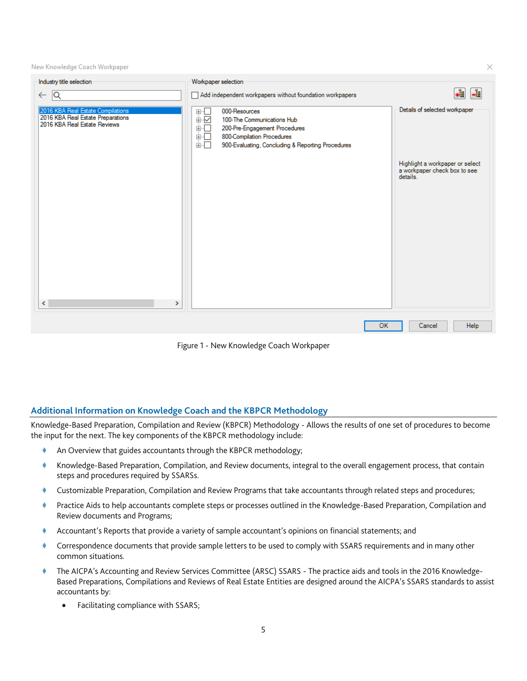New Knowledge Coach Workpaper

| Industry title selection                                                                               | Workpaper selection                                                                                                                                                                                                                                                                                                                |                                                                             |
|--------------------------------------------------------------------------------------------------------|------------------------------------------------------------------------------------------------------------------------------------------------------------------------------------------------------------------------------------------------------------------------------------------------------------------------------------|-----------------------------------------------------------------------------|
| $\leftarrow$ Q                                                                                         | Add independent workpapers without foundation workpapers                                                                                                                                                                                                                                                                           | $\frac{1}{2}$<br>+Ē                                                         |
| 2016 KBA Real Estate Compilations<br>2016 KBA Real Estate Preparations<br>2016 KBA Real Estate Reviews | 000-Resources<br>$\begin{array}{c} \begin{array}{c} \mathbf{H} \\ \mathbf{H} \\ \hline \end{array} \\ \begin{array}{c} \mathbf{H} \\ \hline \end{array} \end{array}$<br>100-The Communications Hub<br>200-Pre-Engagement Procedures<br>Ė⊡<br>800-Compilation Procedures<br>900-Evaluating, Concluding & Reporting Procedures<br>面一 | Details of selected workpaper                                               |
|                                                                                                        |                                                                                                                                                                                                                                                                                                                                    | Highlight a workpaper or select<br>a workpaper check box to see<br>details. |
|                                                                                                        |                                                                                                                                                                                                                                                                                                                                    |                                                                             |
|                                                                                                        |                                                                                                                                                                                                                                                                                                                                    |                                                                             |
|                                                                                                        |                                                                                                                                                                                                                                                                                                                                    |                                                                             |
|                                                                                                        |                                                                                                                                                                                                                                                                                                                                    |                                                                             |
| $\checkmark$<br>$\,$                                                                                   |                                                                                                                                                                                                                                                                                                                                    |                                                                             |
|                                                                                                        | <b>OK</b>                                                                                                                                                                                                                                                                                                                          | Help<br>Cancel                                                              |
|                                                                                                        |                                                                                                                                                                                                                                                                                                                                    |                                                                             |

Figure 1 - New Knowledge Coach Workpaper

## **Additional Information on Knowledge Coach and the KBPCR Methodology**

Knowledge-Based Preparation, Compilation and Review (KBPCR) Methodology - Allows the results of one set of procedures to become the input for the next. The key components of the KBPCR methodology include:

- An Overview that guides accountants through the KBPCR methodology;
- Knowledge-Based Preparation, Compilation, and Review documents, integral to the overall engagement process, that contain steps and procedures required by SSARSs.
- Customizable Preparation, Compilation and Review Programs that take accountants through related steps and procedures;
- Practice Aids to help accountants complete steps or processes outlined in the Knowledge-Based Preparation, Compilation and Review documents and Programs;
- Accountant's Reports that provide a variety of sample accountant's opinions on financial statements; and
- Correspondence documents that provide sample letters to be used to comply with SSARS requirements and in many other common situations.
- The AICPA's Accounting and Review Services Committee (ARSC) SSARS The practice aids and tools in the 2016 Knowledge-Based Preparations, Compilations and Reviews of Real Estate Entities are designed around the AICPA's SSARS standards to assist accountants by:
	- Facilitating compliance with SSARS;

 $\times$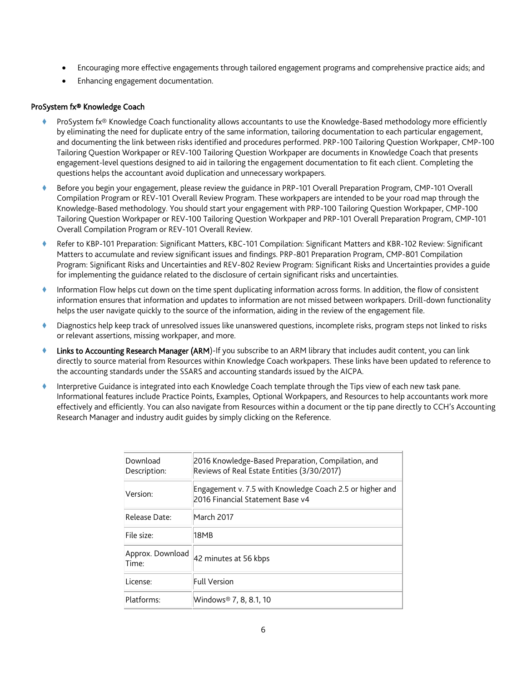- Encouraging more effective engagements through tailored engagement programs and comprehensive practice aids; and
- Enhancing engagement documentation.

## ProSystem fx® Knowledge Coach

- ProSystem fx® Knowledge Coach functionality allows accountants to use the Knowledge-Based methodology more efficiently by eliminating the need for duplicate entry of the same information, tailoring documentation to each particular engagement, and documenting the link between risks identified and procedures performed. PRP-100 Tailoring Question Workpaper, CMP-100 Tailoring Question Workpaper or REV-100 Tailoring Question Workpaper are documents in Knowledge Coach that presents engagement-level questions designed to aid in tailoring the engagement documentation to fit each client. Completing the questions helps the accountant avoid duplication and unnecessary workpapers.
- Before you begin your engagement, please review the guidance in PRP-101 Overall Preparation Program, CMP-101 Overall Compilation Program or REV-101 Overall Review Program. These workpapers are intended to be your road map through the Knowledge-Based methodology. You should start your engagement with PRP-100 Tailoring Question Workpaper, CMP-100 Tailoring Question Workpaper or REV-100 Tailoring Question Workpaper and PRP-101 Overall Preparation Program, CMP-101 Overall Compilation Program or REV-101 Overall Review.
- Refer to KBP-101 Preparation: Significant Matters, KBC-101 Compilation: Significant Matters and KBR-102 Review: Significant Matters to accumulate and review significant issues and findings. PRP-801 Preparation Program, CMP-801 Compilation Program: Significant Risks and Uncertainties and REV-802 Review Program: Significant Risks and Uncertainties provides a guide for implementing the guidance related to the disclosure of certain significant risks and uncertainties.
- Information Flow helps cut down on the time spent duplicating information across forms. In addition, the flow of consistent information ensures that information and updates to information are not missed between workpapers. Drill-down functionality helps the user navigate quickly to the source of the information, aiding in the review of the engagement file.
- Diagnostics help keep track of unresolved issues like unanswered questions, incomplete risks, program steps not linked to risks or relevant assertions, missing workpaper, and more.
- Links to Accounting Research Manager (ARM)-If you subscribe to an ARM library that includes audit content, you can link directly to source material from Resources within Knowledge Coach workpapers. These links have been updated to reference to the accounting standards under the SSARS and accounting standards issued by the AICPA.
- Interpretive Guidance is integrated into each Knowledge Coach template through the Tips view of each new task pane. Informational features include Practice Points, Examples, Optional Workpapers, and Resources to help accountants work more effectively and efficiently. You can also navigate from Resources within a document or the tip pane directly to CCH's Accounting Research Manager and industry audit guides by simply clicking on the Reference.

| Download<br>Description:  | 2016 Knowledge-Based Preparation, Compilation, and<br>Reviews of Real Estate Entities (3/30/2017) |
|---------------------------|---------------------------------------------------------------------------------------------------|
| Version:                  | Engagement v. 7.5 with Knowledge Coach 2.5 or higher and<br>2016 Financial Statement Base v4      |
| Release Date:             | March 2017                                                                                        |
| File size:                | 18MB                                                                                              |
| Approx. Download<br>Time: | 42 minutes at 56 kbps                                                                             |
| License:                  | <b>Full Version</b>                                                                               |
| Platforms:                | Windows® 7, 8, 8.1, 10                                                                            |